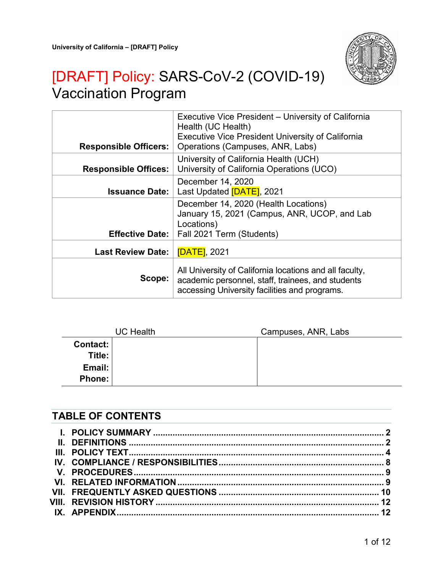

# [DRAFT] Policy: SARS-CoV-2 (COVID-19) Vaccination Program

| <b>Responsible Officers:</b> | Executive Vice President – University of California<br>Health (UC Health)<br><b>Executive Vice President University of California</b><br>Operations (Campuses, ANR, Labs) |
|------------------------------|---------------------------------------------------------------------------------------------------------------------------------------------------------------------------|
| <b>Responsible Offices:</b>  | University of California Health (UCH)<br>University of California Operations (UCO)                                                                                        |
| <b>Issuance Date:</b>        | December 14, 2020<br>Last Updated [DATE], 2021                                                                                                                            |
| <b>Effective Date:</b>       | December 14, 2020 (Health Locations)<br>January 15, 2021 (Campus, ANR, UCOP, and Lab<br>Locations)<br>Fall 2021 Term (Students)                                           |
| <b>Last Review Date:</b>     | <b>[DATE]</b> , 2021                                                                                                                                                      |
| Scope:                       | All University of California locations and all faculty,<br>academic personnel, staff, trainees, and students<br>accessing University facilities and programs.             |

|          | <b>UC Health</b> | Campuses, ANR, Labs |
|----------|------------------|---------------------|
| Contact: |                  |                     |
| Title:   |                  |                     |
| Email:   |                  |                     |
| Phone:   |                  |                     |

## **TABLE OF CONTENTS**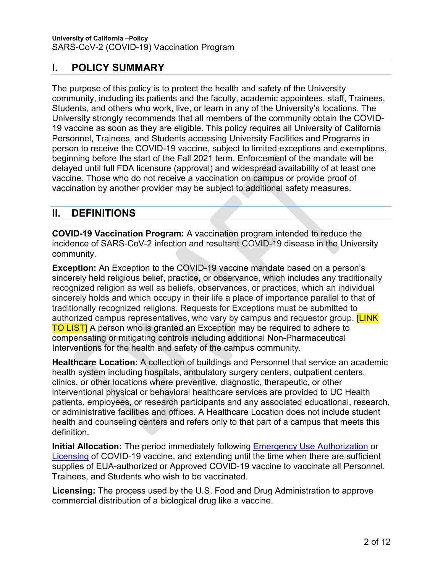## <span id="page-1-0"></span>**I. POLICY SUMMARY**

The purpose of this policy is to protect the health and safety of the University community, including its patients and the faculty, academic appointees, staff, Trainees, Students, and others who work, live, or learn in any of the University's locations. The University strongly recommends that all members of the community obtain the COVID-19 vaccine as soon as they are eligible. This policy requires all University of California Personnel, Trainees, and Students accessing University Facilities and Programs in person to receive the COVID-19 vaccine, subject to limited exceptions and exemptions, beginning before the start of the Fall 2021 term. Enforcement of the mandate will be delayed until full FDA licensure (approval) and widespread availability of at least one vaccine. Those who do not receive a vaccination on campus or provide proof of vaccination by another provider may be subject to additional safety measures.

### <span id="page-1-1"></span>**II. DEFINITIONS**

**COVID-19 Vaccination Program:** A vaccination program intended to reduce the incidence of SARS-CoV-2 infection and resultant COVID-19 disease in the University community.

**Exception:** An Exception to the COVID-19 vaccine mandate based on a person's sincerely held religious belief, practice, or observance, which includes any traditionally recognized religion as well as beliefs, observances, or practices, which an individual sincerely holds and which occupy in their life a place of importance parallel to that of traditionally recognized religions. Requests for Exceptions must be submitted to authorized campus representatives, who vary by campus and requestor group. **[LINK TO LIST** A person who is granted an Exception may be required to adhere to compensating or mitigating controls including additional Non-Pharmaceutical Interventions for the health and safety of the campus community.

**Healthcare Location:** A collection of buildings and Personnel that service an academic health system including hospitals, ambulatory surgery centers, outpatient centers, clinics, or other locations where preventive, diagnostic, therapeutic, or other interventional physical or behavioral healthcare services are provided to UC Health patients, employees, or research participants and any associated educational, research, or administrative facilities and offices. A Healthcare Location does not include student health and counseling centers and refers only to that part of a campus that meets this definition.

**Initial Allocation:** The period immediately following [Emergency Use Authorization](https://www.fda.gov/regulatory-information/search-fda-guidance-documents/emergency-use-authorization-vaccines-prevent-covid-19) or [Licensing](https://www.fda.gov/regulatory-information/search-fda-guidance-documents/development-and-licensure-vaccines-prevent-covid-19) of COVID-19 vaccine, and extending until the time when there are sufficient supplies of EUA-authorized or Approved COVID-19 vaccine to vaccinate all Personnel, Trainees, and Students who wish to be vaccinated.

**Licensing:** The process used by the U.S. Food and Drug Administration to approve commercial distribution of a biological drug like a vaccine.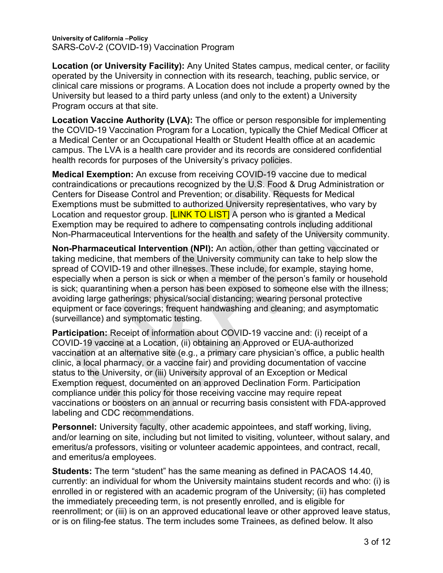**Location (or University Facility):** Any United States campus, medical center, or facility operated by the University in connection with its research, teaching, public service, or clinical care missions or programs. A Location does not include a property owned by the University but leased to a third party unless (and only to the extent) a University Program occurs at that site.

**Location Vaccine Authority (LVA):** The office or person responsible for implementing the COVID-19 Vaccination Program for a Location, typically the Chief Medical Officer at a Medical Center or an Occupational Health or Student Health office at an academic campus. The LVA is a health care provider and its records are considered confidential health records for purposes of the University's privacy policies.

**Medical Exemption:** An excuse from receiving COVID-19 vaccine due to medical contraindications or precautions recognized by the U.S. Food & Drug Administration or Centers for Disease Control and Prevention; or disability. Requests for Medical Exemptions must be submitted to authorized University representatives, who vary by Location and requestor group. **[LINK TO LIST]** A person who is granted a Medical Exemption may be required to adhere to compensating controls including additional Non-Pharmaceutical Interventions for the health and safety of the University community.

**Non-Pharmaceutical Intervention (NPI):** An action, other than getting vaccinated or taking medicine, that members of the University community can take to help slow the spread of COVID-19 and other illnesses. These include, for example, staying home, especially when a person is sick or when a member of the person's family or household is sick; quarantining when a person has been exposed to someone else with the illness; avoiding large gatherings; physical/social distancing; wearing personal protective equipment or face coverings; frequent handwashing and cleaning; and asymptomatic (surveillance) and symptomatic testing.

**Participation:** Receipt of information about COVID-19 vaccine and: (i) receipt of a COVID-19 vaccine at a Location, (ii) obtaining an Approved or EUA-authorized vaccination at an alternative site (e.g., a primary care physician's office, a public health clinic, a local pharmacy, or a vaccine fair) and providing documentation of vaccine status to the University, or (iii) University approval of an Exception or Medical Exemption request, documented on an approved Declination Form. Participation compliance under this policy for those receiving vaccine may require repeat vaccinations or boosters on an annual or recurring basis consistent with FDA-approved labeling and CDC recommendations.

**Personnel:** University faculty, other academic appointees, and staff working, living, and/or learning on site, including but not limited to visiting, volunteer, without salary, and emeritus/a professors, visiting or volunteer academic appointees, and contract, recall, and emeritus/a employees.

**Students:** The term "student" has the same meaning as defined in PACAOS 14.40, currently: an individual for whom the University maintains student records and who: (i) is enrolled in or registered with an academic program of the University; (ii) has completed the immediately preceeding term, is not presently enrolled, and is eligible for reenrollment; or (iii) is on an approved educational leave or other approved leave status, or is on filing-fee status. The term includes some Trainees, as defined below. It also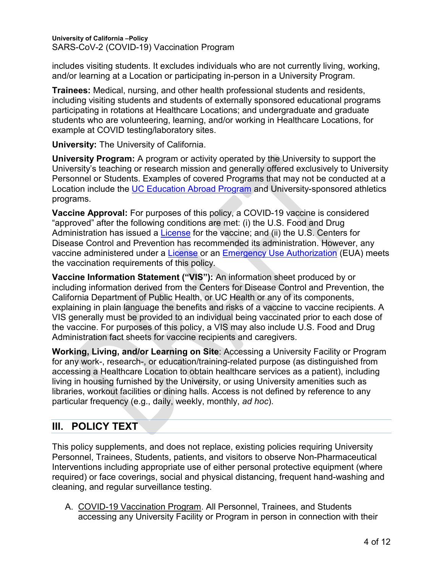includes visiting students. It excludes individuals who are not currently living, working, and/or learning at a Location or participating in-person in a University Program.

**Trainees:** Medical, nursing, and other health professional students and residents, including visiting students and students of externally sponsored educational programs participating in rotations at Healthcare Locations; and undergraduate and graduate students who are volunteering, learning, and/or working in Healthcare Locations, for example at COVID testing/laboratory sites.

**University:** The University of California.

**University Program:** A program or activity operated by the University to support the University's teaching or research mission and generally offered exclusively to University Personnel or Students. Examples of covered Programs that may not be conducted at a Location include the UC [Education Abroad Program](https://uceap.universityofcalifornia.edu/) and University-sponsored athletics programs.

**Vaccine Approval:** For purposes of this policy, a COVID-19 vaccine is considered "approved" after the following conditions are met: (i) the U.S. Food and Drug Administration has issued a [License](https://www.fda.gov/regulatory-information/search-fda-guidance-documents/development-and-licensure-vaccines-prevent-covid-19) for the vaccine; and (ii) the U.S. Centers for Disease Control and Prevention has recommended its administration. However, any vaccine administered under a [License](https://www.fda.gov/regulatory-information/search-fda-guidance-documents/development-and-licensure-vaccines-prevent-covid-19) or an [Emergency Use Authorization](https://www.fda.gov/regulatory-information/search-fda-guidance-documents/emergency-use-authorization-vaccines-prevent-covid-19) (EUA) meets the vaccination requirements of this policy.

**Vaccine Information Statement ("VIS"):** An information sheet produced by or including information derived from the Centers for Disease Control and Prevention, the California Department of Public Health, or UC Health or any of its components, explaining in plain language the benefits and risks of a vaccine to vaccine recipients. A VIS generally must be provided to an individual being vaccinated prior to each dose of the vaccine. For purposes of this policy, a VIS may also include U.S. Food and Drug Administration fact sheets for vaccine recipients and caregivers.

**Working, Living, and/or Learning on Site**: Accessing a University Facility or Program for any work-, research-, or education/training-related purpose (as distinguished from accessing a Healthcare Location to obtain healthcare services as a patient), including living in housing furnished by the University, or using University amenities such as libraries, workout facilities or dining halls. Access is not defined by reference to any particular frequency (e.g., daily, weekly, monthly, *ad hoc*).

## <span id="page-3-0"></span>**III. POLICY TEXT**

This policy supplements, and does not replace, existing policies requiring University Personnel, Trainees, Students, patients, and visitors to observe Non-Pharmaceutical Interventions including appropriate use of either personal protective equipment (where required) or face coverings, social and physical distancing, frequent hand-washing and cleaning, and regular surveillance testing.

A. COVID-19 Vaccination Program. All Personnel, Trainees, and Students accessing any University Facility or Program in person in connection with their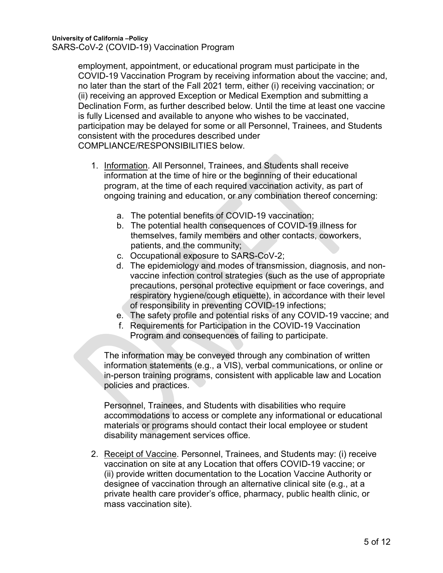employment, appointment, or educational program must participate in the COVID-19 Vaccination Program by receiving information about the vaccine; and, no later than the start of the Fall 2021 term, either (i) receiving vaccination; or (ii) receiving an approved Exception or Medical Exemption and submitting a Declination Form, as further described below. Until the time at least one vaccine is fully Licensed and available to anyone who wishes to be vaccinated, participation may be delayed for some or all Personnel, Trainees, and Students consistent with the procedures described under COMPLIANCE/RESPONSIBILITIES below.

- <span id="page-4-0"></span>1. Information. All Personnel, Trainees, and Students shall receive information at the time of hire or the beginning of their educational program, at the time of each required vaccination activity, as part of ongoing training and education, or any combination thereof concerning:
	- a. The potential benefits of COVID-19 vaccination;
	- b. The potential health consequences of COVID-19 illness for themselves, family members and other contacts, coworkers, patients, and the community;
	- c. Occupational exposure to SARS-CoV-2;
	- d. The epidemiology and modes of transmission, diagnosis, and nonvaccine infection control strategies (such as the use of appropriate precautions, personal protective equipment or face coverings, and respiratory hygiene/cough etiquette), in accordance with their level of responsibility in preventing COVID-19 infections;
	- e. The safety profile and potential risks of any COVID-19 vaccine; and
	- f. Requirements for Participation in the COVID-19 Vaccination Program and consequences of failing to participate.

The information may be conveyed through any combination of written information statements (e.g., a VIS), verbal communications, or online or in-person training programs, consistent with applicable law and Location policies and practices.

Personnel, Trainees, and Students with disabilities who require accommodations to access or complete any informational or educational materials or programs should contact their local employee or student disability management services office.

2. Receipt of Vaccine. Personnel, Trainees, and Students may: (i) receive vaccination on site at any Location that offers COVID-19 vaccine; or (ii) provide written documentation to the Location Vaccine Authority or designee of vaccination through an alternative clinical site (e.g., at a private health care provider's office, pharmacy, public health clinic, or mass vaccination site).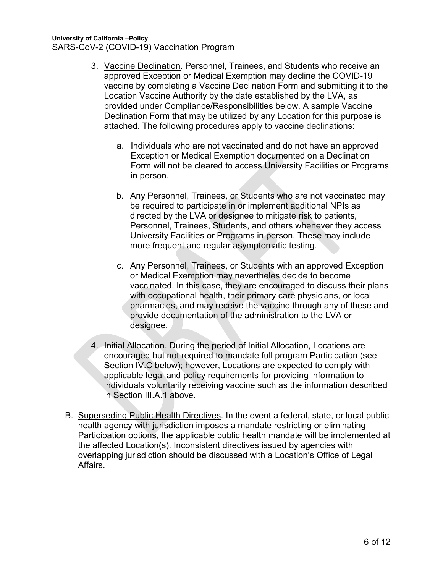- 3. Vaccine Declination. Personnel, Trainees, and Students who receive an approved Exception or Medical Exemption may decline the COVID-19 vaccine by completing a Vaccine Declination Form and submitting it to the Location Vaccine Authority by the date established by the LVA, as provided under Compliance/Responsibilities below. A sample Vaccine Declination Form that may be utilized by any Location for this purpose is attached. The following procedures apply to vaccine declinations:
	- a. Individuals who are not vaccinated and do not have an approved Exception or Medical Exemption documented on a Declination Form will not be cleared to access University Facilities or Programs in person.
	- b. Any Personnel, Trainees, or Students who are not vaccinated may be required to participate in or implement additional NPIs as directed by the LVA or designee to mitigate risk to patients, Personnel, Trainees, Students, and others whenever they access University Facilities or Programs in person. These may include more frequent and regular asymptomatic testing.
	- c. Any Personnel, Trainees, or Students with an approved Exception or Medical Exemption may nevertheles decide to become vaccinated. In this case, they are encouraged to discuss their plans with occupational health, their primary care physicians, or local pharmacies, and may receive the vaccine through any of these and provide documentation of the administration to the LVA or designee.
- 4. Initial Allocation. During the period of Initial Allocation, Locations are encouraged but not required to mandate full program Participation (see Section IV[.C](#page-7-1) below); however, Locations are expected to comply with applicable legal and policy requirements for providing information to individuals voluntarily receiving vaccine such as the information described in Section III[.A.1](#page-4-0) above.
- B. Superseding Public Health Directives. In the event a federal, state, or local public health agency with jurisdiction imposes a mandate restricting or eliminating Participation options, the applicable public health mandate will be implemented at the affected Location(s). Inconsistent directives issued by agencies with overlapping jurisdiction should be discussed with a Location's Office of Legal Affairs.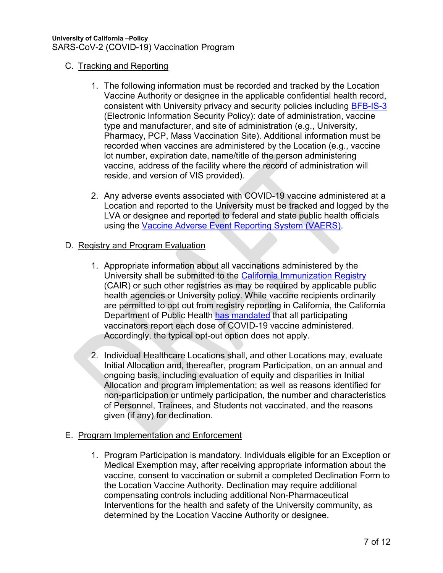#### C. Tracking and Reporting

- 1. The following information must be recorded and tracked by the Location Vaccine Authority or designee in the applicable confidential health record, consistent with University privacy and security policies including [BFB-IS-3](https://policy.ucop.edu/doc/7000543/BFB-IS-3) (Electronic Information Security Policy): date of administration, vaccine type and manufacturer, and site of administration (e.g., University, Pharmacy, PCP, Mass Vaccination Site). Additional information must be recorded when vaccines are administered by the Location (e.g., vaccine lot number, expiration date, name/title of the person administering vaccine, address of the facility where the record of administration will reside, and version of VIS provided).
- 2. Any adverse events associated with COVID-19 vaccine administered at a Location and reported to the University must be tracked and logged by the LVA or designee and reported to federal and state public health officials using the [Vaccine Adverse Event Reporting System \(VAERS\).](https://vaers.hhs.gov/)

#### D. Registry and Program Evaluation

- 1. Appropriate information about all vaccinations administered by the University shall be submitted to the [California Immunization Registry](http://cairweb.org/) (CAIR) or such other registries as may be required by applicable public health agencies or University policy. While vaccine recipients ordinarily are permitted to opt out from registry reporting in California, the California Department of Public Health [has mandated](http://cairweb.org/covid/) that all participating vaccinators report each dose of COVID-19 vaccine administered. Accordingly, the typical opt-out option does not apply.
- 2. Individual Healthcare Locations shall, and other Locations may, evaluate Initial Allocation and, thereafter, program Participation, on an annual and ongoing basis, including evaluation of equity and disparities in Initial Allocation and program implementation; as well as reasons identified for non-participation or untimely participation, the number and characteristics of Personnel, Trainees, and Students not vaccinated, and the reasons given (if any) for declination.

#### E. Program Implementation and Enforcement

1. Program Participation is mandatory. Individuals eligible for an Exception or Medical Exemption may, after receiving appropriate information about the vaccine, consent to vaccination or submit a completed Declination Form to the Location Vaccine Authority. Declination may require additional compensating controls including additional Non-Pharmaceutical Interventions for the health and safety of the University community, as determined by the Location Vaccine Authority or designee.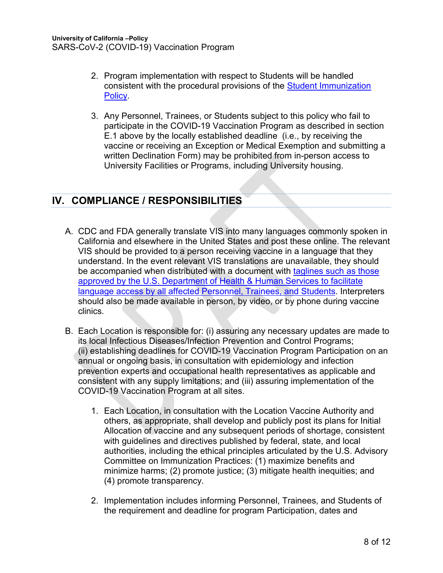- 2. Program implementation with respect to Students will be handled consistent with the procedural provisions of the [Student Immunization](https://policy.ucop.edu/doc/5000649/UC-ImmunizationPolicy)  **Policy**
- 3. Any Personnel, Trainees, or Students subject to this policy who fail to participate in the COVID-19 Vaccination Program as described in section E.1 above by the locally established deadline (i.e., by receiving the vaccine or receiving an Exception or Medical Exemption and submitting a written Declination Form) may be prohibited from in-person access to University Facilities or Programs, including University housing.

## <span id="page-7-0"></span>**IV. COMPLIANCE / RESPONSIBILITIES**

- A. CDC and FDA generally translate VIS into many languages commonly spoken in California and elsewhere in the United States and post these online. The relevant VIS should be provided to a person receiving vaccine in a language that they understand. In the event relevant VIS translations are unavailable, they should be accompanied when distributed with a document with taglines such as those [approved by the U.S. Department of Health & Human Services](https://www.hhs.gov/civil-rights/for-individuals/section-1557/translated-resources/index.html) to facilitate language access by all affected Personnel, Trainees, and Students. Interpreters should also be made available in person, by video, or by phone during vaccine clinics.
- <span id="page-7-1"></span>B. Each Location is responsible for: (i) assuring any necessary updates are made to its local Infectious Diseases/Infection Prevention and Control Programs; (ii) establishing deadlines for COVID-19 Vaccination Program Participation on an annual or ongoing basis, in consultation with epidemiology and infection prevention experts and occupational health representatives as applicable and consistent with any supply limitations; and (iii) assuring implementation of the COVID-19 Vaccination Program at all sites.
	- 1. Each Location, in consultation with the Location Vaccine Authority and others, as appropriate, shall develop and publicly post its plans for Initial Allocation of vaccine and any subsequent periods of shortage, consistent with guidelines and directives published by federal, state, and local authorities, including the ethical principles articulated by the U.S. Advisory Committee on Immunization Practices: (1) maximize benefits and minimize harms; (2) promote justice; (3) mitigate health inequities; and (4) promote transparency.
	- 2. Implementation includes informing Personnel, Trainees, and Students of the requirement and deadline for program Participation, dates and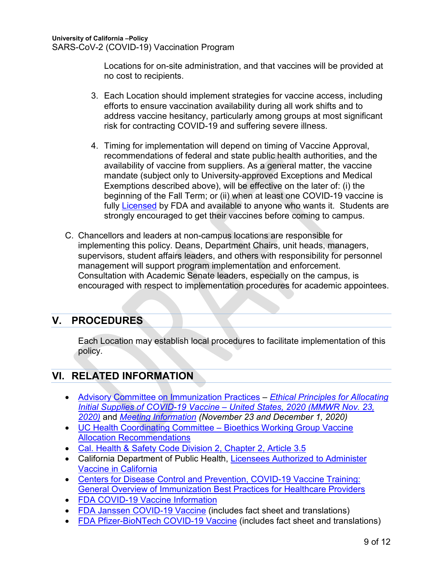Locations for on-site administration, and that vaccines will be provided at no cost to recipients.

- 3. Each Location should implement strategies for vaccine access, including efforts to ensure vaccination availability during all work shifts and to address vaccine hesitancy, particularly among groups at most significant risk for contracting COVID-19 and suffering severe illness.
- 4. Timing for implementation will depend on timing of Vaccine Approval, recommendations of federal and state public health authorities, and the availability of vaccine from suppliers. As a general matter, the vaccine mandate (subject only to University-approved Exceptions and Medical Exemptions described above), will be effective on the later of: (i) the beginning of the Fall Term; or (ii) when at least one COVID-19 vaccine is fully [Licensed](https://www.fda.gov/regulatory-information/search-fda-guidance-documents/development-and-licensure-vaccines-prevent-covid-19) by FDA and available to anyone who wants it. Students are strongly encouraged to get their vaccines before coming to campus.
- C. Chancellors and leaders at non-campus locations are responsible for implementing this policy. Deans, Department Chairs, unit heads, managers, supervisors, student affairs leaders, and others with responsibility for personnel management will support program implementation and enforcement. Consultation with Academic Senate leaders, especially on the campus, is encouraged with respect to implementation procedures for academic appointees.

## <span id="page-8-0"></span>**V. PROCEDURES**

Each Location may establish local procedures to facilitate implementation of this policy.

## <span id="page-8-1"></span>**VI. RELATED INFORMATION**

- [Advisory Committee on Immunization Practices](https://www.cdc.gov/vaccines/acip/index.html) *[Ethical Principles for Allocating](https://www.cdc.gov/mmwr/volumes/69/wr/mm6947e3.htm)  [Initial Supplies of COVID-19 Vaccine –](https://www.cdc.gov/mmwr/volumes/69/wr/mm6947e3.htm) United States, 2020 (MMWR Nov. 23, [2020\)](https://www.cdc.gov/mmwr/volumes/69/wr/mm6947e3.htm)* and *[Meeting Information](https://www.cdc.gov/vaccines/acip/meetings/index.html) (November 23 and December 1, 2020)*
- [UC Health Coordinating Committee –](https://ucop.edu/uc-health/reports-resources/uch-coordinating-committee-guidance/index.html) Bioethics Working Group Vaccine [Allocation Recommendations](https://ucop.edu/uc-health/reports-resources/uch-coordinating-committee-guidance/index.html)
- [Cal. Health & Safety Code Division 2, Chapter 2, Article 3.5](http://leginfo.legislature.ca.gov/faces/codes_displayText.xhtml?division=2.&chapter=2.&lawCode=HSC&article=3.5.)
- California Department of Public Health, [Licensees Authorized to Administer](https://www.cdph.ca.gov/Programs/CID/DCDC/Pages/Immunization/Authorized-Licensees.aspx)  [Vaccine in California](https://www.cdph.ca.gov/Programs/CID/DCDC/Pages/Immunization/Authorized-Licensees.aspx)
- Centers for Disease Control and Prevention, COVID-19 Vaccine Training: [General Overview of Immunization Best Practices for Healthcare Providers](https://www2.cdc.gov/vaccines/ed/covid19/SHVA/index.asp)
- [FDA COVID-19 Vaccine Information](https://www.fda.gov/emergency-preparedness-and-response/coronavirus-disease-2019-covid-19/covid-19-vaccines#news)
- [FDA Janssen COVID-19 Vaccine](https://www.fda.gov/emergency-preparedness-and-response/coronavirus-disease-2019-covid-19/janssen-covid-19-vaccine) (includes fact sheet and translations)
- [FDA Pfizer-BioNTech COVID-19 Vaccine](https://www.fda.gov/emergency-preparedness-and-response/coronavirus-disease-2019-covid-19/pfizer-biontech-covid-19-vaccine#additional) (includes fact sheet and translations)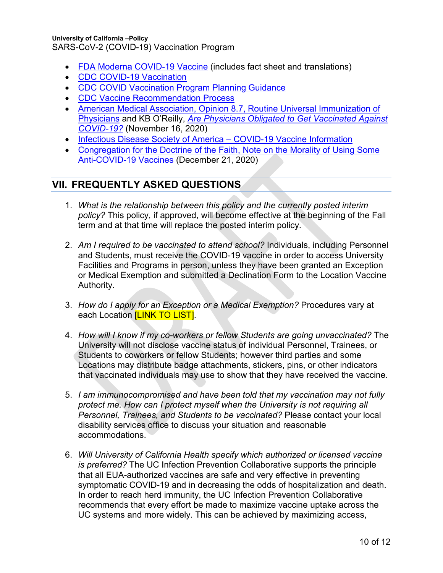- [FDA Moderna COVID-19 Vaccine](https://www.fda.gov/emergency-preparedness-and-response/coronavirus-disease-2019-covid-19/moderna-covid-19-vaccine#additional) (includes fact sheet and translations)
- [CDC COVID-19 Vaccination](https://www.cdc.gov/vaccines/covid-19/index.html)
- [CDC COVID Vaccination Program Planning Guidance](https://www.cdc.gov/vaccines/covid-19/covid19-vaccination-guidance.html)
- [CDC Vaccine Recommendation Process](https://www.cdc.gov/coronavirus/2019-ncov/vaccines/recommendations-process.html)
- [American Medical Association, Opinion 8.7, Routine Universal Immunization of](https://www.ama-assn.org/delivering-care/ethics/routine-universal-immunization-physicians)  [Physicians](https://www.ama-assn.org/delivering-care/ethics/routine-universal-immunization-physicians) and KB O'Reilly, *[Are Physicians Obligated to Get Vaccinated Against](https://www.ama-assn.org/delivering-care/public-health/are-physicians-obliged-get-vaccinated-against-covid-19)  [COVID-19?](https://www.ama-assn.org/delivering-care/public-health/are-physicians-obliged-get-vaccinated-against-covid-19)* (November 16, 2020)
- [Infectious Disease Society of America –](https://www.idsociety.org/covid-19-real-time-learning-network/vaccines/vaccines/) COVID-19 Vaccine Information
- [Congregation for the Doctrine of the Faith, Note on the Morality of Using Some](https://www.vatican.va/roman_curia/congregations/cfaith/documents/rc_con_cfaith_doc_20201221_nota-vaccini-anticovid_en.html)  [Anti-COVID-19 Vaccines](https://www.vatican.va/roman_curia/congregations/cfaith/documents/rc_con_cfaith_doc_20201221_nota-vaccini-anticovid_en.html) (December 21, 2020)

## <span id="page-9-0"></span>**VII. FREQUENTLY ASKED QUESTIONS**

- 1. *What is the relationship between this policy and the currently posted interim policy?* This policy, if approved, will become effective at the beginning of the Fall term and at that time will replace the posted interim policy.
- 2. *Am I required to be vaccinated to attend school?* Individuals, including Personnel and Students, must receive the COVID-19 vaccine in order to access University Facilities and Programs in person, unless they have been granted an Exception or Medical Exemption and submitted a Declination Form to the Location Vaccine Authority.
- 3. *How do I apply for an Exception or a Medical Exemption?* Procedures vary at each Location **[LINK TO LIST]**.
- 4. *How will I know if my co-workers or fellow Students are going unvaccinated?* The University will not disclose vaccine status of individual Personnel, Trainees, or Students to coworkers or fellow Students; however third parties and some Locations may distribute badge attachments, stickers, pins, or other indicators that vaccinated individuals may use to show that they have received the vaccine.
- 5. *I am immunocompromised and have been told that my vaccination may not fully protect me. How can I protect myself when the University is not requiring all Personnel, Trainees, and Students to be vaccinated?* Please contact your local disability services office to discuss your situation and reasonable accommodations.
- 6. *Will University of California Health specify which authorized or licensed vaccine is preferred?* The UC Infection Prevention Collaborative supports the principle that all EUA-authorized vaccines are safe and very effective in preventing symptomatic COVID-19 and in decreasing the odds of hospitalization and death. In order to reach herd immunity, the UC Infection Prevention Collaborative recommends that every effort be made to maximize vaccine uptake across the UC systems and more widely. This can be achieved by maximizing access,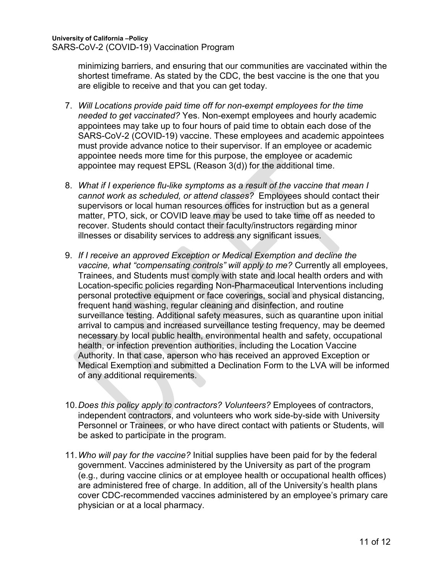minimizing barriers, and ensuring that our communities are vaccinated within the shortest timeframe. As stated by the CDC, the best vaccine is the one that you are eligible to receive and that you can get today.

- 7. *Will Locations provide paid time off for non-exempt employees for the time needed to get vaccinated?* Yes. Non-exempt employees and hourly academic appointees may take up to four hours of paid time to obtain each dose of the SARS-CoV-2 (COVID-19) vaccine. These employees and academic appointees must provide advance notice to their supervisor. If an employee or academic appointee needs more time for this purpose, the employee or academic appointee may request EPSL (Reason 3(d)) for the additional time.
- 8. *What if I experience flu-like symptoms as a result of the vaccine that mean I cannot work as scheduled, or attend classes?* Employees should contact their supervisors or local human resources offices for instruction but as a general matter, PTO, sick, or COVID leave may be used to take time off as needed to recover. Students should contact their faculty/instructors regarding minor illnesses or disability services to address any significant issues.
- 9. *If I receive an approved Exception or Medical Exemption and decline the vaccine, what "compensating controls" will apply to me?* Currently all employees, Trainees, and Students must comply with state and local health orders and with Location-specific policies regarding Non-Pharmaceutical Interventions including personal protective equipment or face coverings, social and physical distancing, frequent hand washing, regular cleaning and disinfection, and routine surveillance testing. Additional safety measures, such as quarantine upon initial arrival to campus and increased surveillance testing frequency, may be deemed necessary by local public health, environmental health and safety, occupational health, or infection prevention authorities, including the Location Vaccine Authority. In that case, aperson who has received an approved Exception or Medical Exemption and submitted a Declination Form to the LVA will be informed of any additional requirements.
- 10.*Does this policy apply to contractors? Volunteers?* Employees of contractors, independent contractors, and volunteers who work side-by-side with University Personnel or Trainees, or who have direct contact with patients or Students, will be asked to participate in the program.
- 11.*Who will pay for the vaccine?* Initial supplies have been paid for by the federal government. Vaccines administered by the University as part of the program (e.g., during vaccine clinics or at employee health or occupational health offices) are administered free of charge. In addition, all of the University's health plans cover CDC-recommended vaccines administered by an employee's primary care physician or at a local pharmacy.